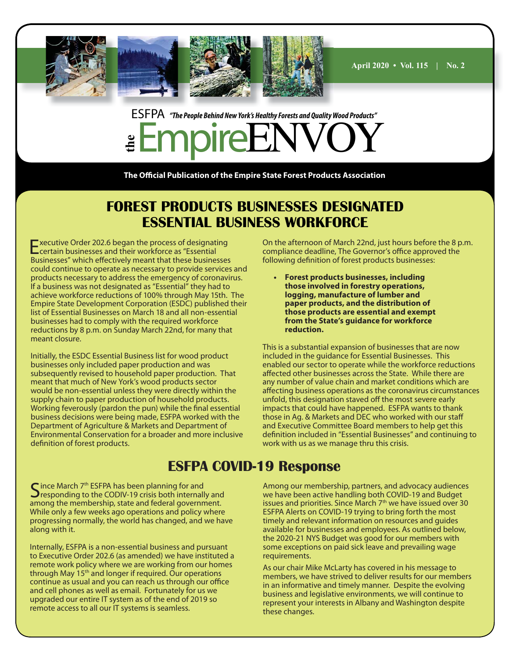

## ESFPA *"The People Behind New York's Healthy Forests and Quality Wood Products"* **the** EmpireENVOY

**The Official Publication of the Empire State Forest Products Association** 

## **FOREST PRODUCTS BUSINESSES DESIGNATED ESSENTIAL BUSINESS WORKFORCE**

Executive Order 202.6 began the process of designating certain businesses and their workforce as "Essential Businesses" which effectively meant that these businesses could continue to operate as necessary to provide services and products necessary to address the emergency of coronavirus. If a business was not designated as "Essential" they had to achieve workforce reductions of 100% through May 15th. The Empire State Development Corporation (ESDC) published their list of Essential Businesses on March 18 and all non-essential businesses had to comply with the required workforce reductions by 8 p.m. on Sunday March 22nd, for many that meant closure.

Initially, the ESDC Essential Business list for wood product businesses only included paper production and was subsequently revised to household paper production. That meant that much of New York's wood products sector would be non-essential unless they were directly within the supply chain to paper production of household products. Working feverously (pardon the pun) while the final essential business decisions were being made, ESFPA worked with the Department of Agriculture & Markets and Department of Environmental Conservation for a broader and more inclusive definition of forest products.

On the afternoon of March 22nd, just hours before the 8 p.m. compliance deadline, The Governor's office approved the following definition of forest products businesses:

**• Forest products businesses, including those involved in forestry operations, logging, manufacture of lumber and paper products, and the distribution of those products are essential and exempt from the State's guidance for workforce reduction.**

This is a substantial expansion of businesses that are now included in the guidance for Essential Businesses. This enabled our sector to operate while the workforce reductions affected other businesses across the State. While there are any number of value chain and market conditions which are affecting business operations as the coronavirus circumstances unfold, this designation staved off the most severe early impacts that could have happened. ESFPA wants to thank those in Ag. & Markets and DEC who worked with our staff and Executive Committee Board members to help get this definition included in "Essential Businesses" and continuing to work with us as we manage thru this crisis.

## **ESFPA COVID-19 Response**

Since March  $7<sup>th</sup>$  ESFPA has been planning for and responding to the CODIV-19 crisis both internally and among the membership, state and federal government. While only a few weeks ago operations and policy where progressing normally, the world has changed, and we have along with it.

Internally, ESFPA is a non-essential business and pursuant to Executive Order 202.6 (as amended) we have instituted a remote work policy where we are working from our homes through May 15th and longer if required. Our operations continue as usual and you can reach us through our office and cell phones as well as email. Fortunately for us we upgraded our entire IT system as of the end of 2019 so remote access to all our IT systems is seamless.

Among our membership, partners, and advocacy audiences we have been active handling both COVID-19 and Budget issues and priorities. Since March 7<sup>th</sup> we have issued over 30 ESFPA Alerts on COVID-19 trying to bring forth the most timely and relevant information on resources and guides available for businesses and employees. As outlined below, the 2020-21 NYS Budget was good for our members with some exceptions on paid sick leave and prevailing wage requirements.

As our chair Mike McLarty has covered in his message to members, we have strived to deliver results for our members in an informative and timely manner. Despite the evolving business and legislative environments, we will continue to represent your interests in Albany and Washington despite these changes.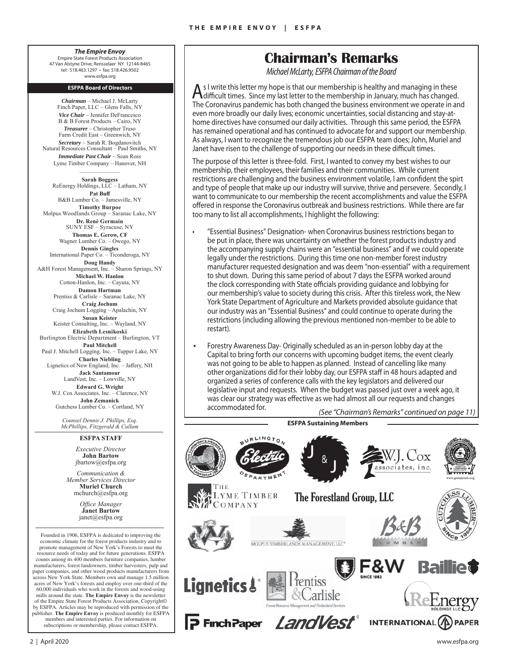*The Empire Envoy* Empire State Forest Products Association 47 Van Alstyne Drive, Rensselaer NY 12144-8465 tel: 518.463.1297 • fax: 518.426.9502 www.esfpa.org

#### **ESFPA Board of Directors**

*Chairman* – Michael J. McLarty Finch Paper, LLC – Glens Falls, NY *Vice Chair* – Jennifer DeFrancesco B & B Forest Products – Cairo, NY *Treasurer* – Christopher Truso Farm Credit East – Greenwich, NY *Secretary* – Sarah R. Bogdanovitch Natural Resources Consultant – Paul Smiths, NY *Immediate Past Chair* – Sean Ross Lyme Timber Company – Hanover, NH  $\overline{\phantom{a}}$ **Sarah Boggess** ReEnergy Holdings, LLC - Latham, NY **Pat Buff** B&B Lumber Co. – Jamesville, NY **Timothy Burpoe** Molpus Woodlands Group – Saranac Lake, NY **Dr. Renè Germain** SUNY ESF – Syracuse, NY **Thomas E. Gerow, CF** Wagner Lumber Co. – Owego, NY **Dennis Gingles** International Paper Co. – Ticonderoga, NY **Doug Handy** A&H Forest Management, Inc. – Sharon Springs, NY **Michael W. Hanlon**

Cotton-Hanlon, Inc. – Cayuta, NY **Damon Hartman** Prentiss & Carlisle – Saranac Lake, NY **Craig Jochum** Craig Jochum Logging – Apalachin, NY **Susan Keister** Keister Consulting, Inc. – Wayland, NY **Elizabeth Lesnikoski** Burlington Electric Department – Burlington, VT **Paul Mitchell** Paul J. Mitchell Logging, Inc. – Tupper Lake, NY **Charles Niebling** Lignetics of New England, Inc. - Jaffery, NH **Jack Santamour** LandVest, Inc. – Lowville, NY **Edward G. Wright** W.J. Cox Associates, Inc. – Clarence, NY

**John Zemanick** Gutchess Lumber Co. – Cortland, NY

*Counsel Dennis J. Phillips, Esq. McPhillips, Fitzgerald & Cullum*

#### **ESFPA STAFF**

*Executive Director* **John Bartow** jbartow@esfpa.org

*Communication & Member Services Director* **Muriel Church** mchurch@esfpa.org

> *Offi ce Manager* **Janet Bartow** janet@esfpa.org

Founded in 1906, ESFPA is dedicated to improving the economic climate for the forest products industry and to promote management of New York's Forests to meet the resource needs of today and for future generations. ESFPA counts among its 400 members furniture companies, lumber manufacturers, forest landowners, timber harvesters, pulp and paper companies, and other wood products manufacturers from across New York State. Members own and manage 1.5 million acres of New York's forests and employ over one-third of the 60,000 individuals who work in the forests and wood-using mills around the state. **The Empire Envoy** is the newsletter of the Empire State Forest Products Association, Copyright© by ESFPA. Articles may be reproduced with permission of the publisher. **The Empire Envoy** is produced monthly for ESFPA members and interested parties. For information on subscriptions or membership, please contact ESFPA.

## **Chairman's Remarks**

*Michael McLarty, ESFPA Chairman of the Board*

As I write this letter my hope is that our membership is healthy and managing in these<br>difficult times. Since my last letter to the membership in January, much has changed. The Coronavirus pandemic has both changed the business environment we operate in and even more broadly our daily lives; economic uncertainties, social distancing and stay-athome directives have consumed our daily activities. Through this same period, the ESFPA has remained operational and has continued to advocate for and support our membership. As always, I want to recognize the tremendous job our ESFPA team does; John, Muriel and Janet have risen to the challenge of supporting our needs in these difficult times.

The purpose of this letter is three-fold. First, I wanted to convey my best wishes to our membership, their employees, their families and their communities. While current restrictions are challenging and the business environment volatile, I am confident the spirt and type of people that make up our industry will survive, thrive and persevere. Secondly, I want to communicate to our membership the recent accomplishments and value the ESFPA offered in response the Coronavirus outbreak and business restrictions. While there are far too many to list all accomplishments, I highlight the following:

- "Essential Business" Designation- when Coronavirus business restrictions began to be put in place, there was uncertainty on whether the forest products industry and the accompanying supply chains were an "essential business" and if we could operate legally under the restrictions. During this time one non-member forest industry manufacturer requested designation and was deem "non-essential" with a requirement to shut down. During this same period of about 7 days the ESFPA worked around the clock corresponding with State officials providing guidance and lobbying for our membership's value to society during this crisis. After this tireless work, the New York State Department of Agriculture and Markets provided absolute guidance that our industry was an "Essential Business" and could continue to operate during the restrictions (including allowing the previous mentioned non-member to be able to restart).
- Forestry Awareness Day- Originally scheduled as an in-person lobby day at the Capital to bring forth our concerns with upcoming budget items, the event clearly was not going to be able to happen as planned. Instead of cancelling like many other organizations did for their lobby day, our ESFPA staff in 48 hours adapted and organized a series of conference calls with the key legislators and delivered our legislative input and requests. When the budget was passed just over a week ago, it was clear our strategy was effective as we had almost all our requests and changes accommodated for. *(See "Chairman's Remarks" continued on page 11)*

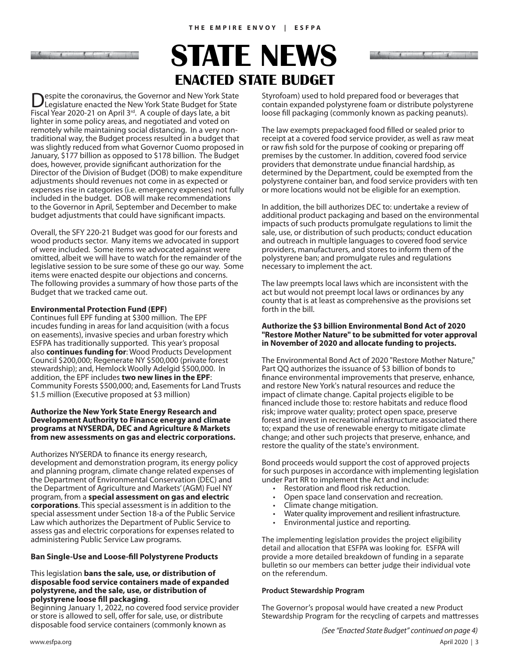and the companion of the companion of the companion of the companion of the companion of the companion of

## **ENACTED STATE BUDGET STATE NEWS**

**Despite the coronavirus, the Governor and New York State Legislature enacted the New York State Budget for State** Fiscal Year 2020-21 on April 3<sup>rd</sup>. A couple of days late, a bit lighter in some policy areas, and negotiated and voted on remotely while maintaining social distancing. In a very nontraditional way, the Budget process resulted in a budget that was slightly reduced from what Governor Cuomo proposed in January, \$177 billion as opposed to \$178 billion. The Budget does, however, provide significant authorization for the Director of the Division of Budget (DOB) to make expenditure adjustments should revenues not come in as expected or expenses rise in categories (i.e. emergency expenses) not fully included in the budget. DOB will make recommendations to the Governor in April, September and December to make budget adjustments that could have significant impacts.

Overall, the SFY 220-21 Budget was good for our forests and wood products sector. Many items we advocated in support of were included. Some items we advocated against were omitted, albeit we will have to watch for the remainder of the legislative session to be sure some of these go our way. Some items were enacted despite our objections and concerns. The following provides a summary of how those parts of the Budget that we tracked came out.

### **Environmental Protection Fund (EPF)**

Continues full EPF funding at \$300 million. The EPF incudes funding in areas for land acquisition (with a focus on easements), invasive species and urban forestry which ESFPA has traditionally supported. This year's proposal also **continues funding for**: Wood Products Development Council \$200,000; Regenerate NY \$500,000 (private forest stewardship); and, Hemlock Woolly Adelgid \$500,000. In addition, the EPF includes **two new lines in the EPF**: Community Forests \$500,000; and, Easements for Land Trusts \$1.5 million (Executive proposed at \$3 million)

#### **Authorize the New York State Energy Research and Development Authority to Finance energy and climate programs at NYSERDA, DEC and Agriculture & Markets from new assessments on gas and electric corporations.**

Authorizes NYSERDA to finance its energy research, development and demonstration program, its energy policy and planning program, climate change related expenses of the Department of Environmental Conservation (DEC) and the Department of Agriculture and Markets' (AGM) Fuel NY program, from a **special assessment on gas and electric corporations**. This special assessment is in addition to the special assessment under Section 18-a of the Public Service Law which authorizes the Department of Public Service to assess gas and electric corporations for expenses related to administering Public Service Law programs.

### **Ban Single-Use and Loose-fill Polystyrene Products**

#### This legislation **bans the sale, use, or distribution of disposable food service containers made of expanded polystyrene, and the sale, use, or distribution of polystyrene loose fi ll packaging**.

Beginning January 1, 2022, no covered food service provider or store is allowed to sell, offer for sale, use, or distribute disposable food service containers (commonly known as

Styrofoam) used to hold prepared food or beverages that contain expanded polystyrene foam or distribute polystyrene loose fill packaging (commonly known as packing peanuts).

**Columbiant County Installation of the Columbiant** 

The law exempts prepackaged food filled or sealed prior to receipt at a covered food service provider, as well as raw meat or raw fish sold for the purpose of cooking or preparing off premises by the customer. In addition, covered food service providers that demonstrate undue financial hardship, as determined by the Department, could be exempted from the polystyrene container ban, and food service providers with ten or more locations would not be eligible for an exemption.

In addition, the bill authorizes DEC to: undertake a review of additional product packaging and based on the environmental impacts of such products promulgate regulations to limit the sale, use, or distribution of such products; conduct education and outreach in multiple languages to covered food service providers, manufacturers, and stores to inform them of the polystyrene ban; and promulgate rules and regulations necessary to implement the act.

The law preempts local laws which are inconsistent with the act but would not preempt local laws or ordinances by any county that is at least as comprehensive as the provisions set forth in the bill.

#### **Authorize the \$3 billion Environmental Bond Act of 2020 "Restore Mother Nature" to be submitted for voter approval in November of 2020 and allocate funding to projects.**

The Environmental Bond Act of 2020 "Restore Mother Nature," Part QQ authorizes the issuance of \$3 billion of bonds to finance environmental improvements that preserve, enhance, and restore New York's natural resources and reduce the impact of climate change. Capital projects eligible to be financed include those to: restore habitats and reduce flood risk; improve water quality; protect open space, preserve forest and invest in recreational infrastructure associated there to; expand the use of renewable energy to mitigate climate change; and other such projects that preserve, enhance, and restore the quality of the state's environment.

Bond proceeds would support the cost of approved projects for such purposes in accordance with implementing legislation under Part RR to implement the Act and include:

- Restoration and flood risk reduction.
- Open space land conservation and recreation.
- Climate change mitigation.
- Water quality improvement and resilient infrastructure.
- Environmental justice and reporting.

The implementing legislation provides the project eligibility detail and allocation that ESFPA was looking for. ESFPA will provide a more detailed breakdown of funding in a separate bulletin so our members can better judge their individual vote on the referendum.

#### **Product Stewardship Program**

The Governor's proposal would have created a new Product Stewardship Program for the recycling of carpets and mattresses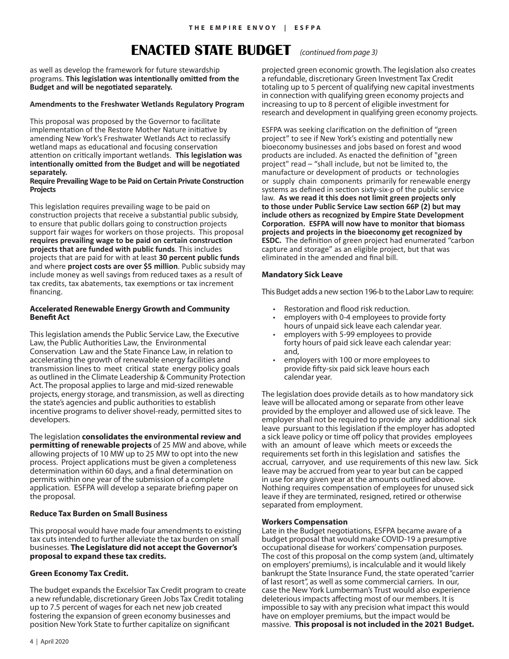## **ENACTED STATE BUDGET** *(continued from page 3)*

as well as develop the framework for future stewardship programs. **This legislation was intentionally omitted from the** Budget and will be negotiated separately.

#### **Amendments to the Freshwater Wetlands Regulatory Program**

This proposal was proposed by the Governor to facilitate implementation of the Restore Mother Nature initiative by amending New York's Freshwater Wetlands Act to reclassify wetland maps as educational and focusing conservation attention on critically important wetlands. This legislation was intentionally omitted from the Budget and will be negotiated **separately.**

#### **Require Prevailing Wage to be Paid on Certain Private Construction Projects**

This legislation requires prevailing wage to be paid on construction projects that receive a substantial public subsidy, to ensure that public dollars going to construction projects support fair wages for workers on those projects. This proposal requires prevailing wage to be paid on certain construction **projects that are funded with public funds**. This includes projects that are paid for with at least **30 percent public funds** and where **project costs are over \$5 million**. Public subsidy may include money as well savings from reduced taxes as a result of tax credits, tax abatements, tax exemptions or tax increment financing.

#### **Accelerated Renewable Energy Growth and Community Benefit Act**

This legislation amends the Public Service Law, the Executive Law, the Public Authorities Law, the Environmental Conservation Law and the State Finance Law, in relation to accelerating the growth of renewable energy facilities and transmission lines to meet critical state energy policy goals as outlined in the Climate Leadership & Community Protection Act. The proposal applies to large and mid-sized renewable projects, energy storage, and transmission, as well as directing the state's agencies and public authorities to establish incentive programs to deliver shovel-ready, permitted sites to developers.

The legislation **consolidates the environmental review and permitting of renewable projects** of 25 MW and above, while allowing projects of 10 MW up to 25 MW to opt into the new process. Project applications must be given a completeness determination within 60 days, and a final determination on permits within one year of the submission of a complete application. ESFPA will develop a separate briefing paper on the proposal.

#### **Reduce Tax Burden on Small Business**

This proposal would have made four amendments to existing tax cuts intended to further alleviate the tax burden on small businesses. **The Legislature did not accept the Governor's proposal to expand these tax credits.**

#### **Green Economy Tax Credit.**

The budget expands the Excelsior Tax Credit program to create a new refundable, discretionary Green Jobs Tax Credit totaling up to 7.5 percent of wages for each net new job created fostering the expansion of green economy businesses and position New York State to further capitalize on significant

projected green economic growth. The legislation also creates a refundable, discretionary Green Investment Tax Credit totaling up to 5 percent of qualifying new capital investments in connection with qualifying green economy projects and increasing to up to 8 percent of eligible investment for research and development in qualifying green economy projects.

ESFPA was seeking clarification on the definition of "green project" to see if New York's existing and potentially new bioeconomy businesses and jobs based on forest and wood products are included. As enacted the definition of "green" project" read – "shall include, but not be limited to, the manufacture or development of products or technologies or supply chain components primarily for renewable energy systems as defined in section sixty-six-p of the public service law. **As we read it this does not limit green projects only**  to those under Public Service Law section 66P (2) but may **include others as recognized by Empire State Development CorporaƟ on. ESFPA will now have to monitor that biomass projects and projects in the bioeconomy get recognized by ESDC.** The definition of green project had enumerated "carbon capture and storage" as an eligible project, but that was eliminated in the amended and final bill.

#### **Mandatory Sick Leave**

This Budget adds a new section 196-b to the Labor Law to require:

- Restoration and flood risk reduction.
- employers with 0-4 employees to provide forty hours of unpaid sick leave each calendar year.
- employers with 5-99 employees to provide forty hours of paid sick leave each calendar year: and,
- employers with 100 or more employees to provide fifty-six paid sick leave hours each calendar year.

The legislation does provide details as to how mandatory sick leave will be allocated among or separate from other leave provided by the employer and allowed use of sick leave. The employer shall not be required to provide any additional sick leave pursuant to this legislation if the employer has adopted a sick leave policy or time off policy that provides employees with an amount of leave which meets or exceeds the requirements set forth in this legislation and satisfies the accrual, carryover, and use requirements of this new law. Sick leave may be accrued from year to year but can be capped in use for any given year at the amounts outlined above. Nothing requires compensation of employees for unused sick leave if they are terminated, resigned, retired or otherwise separated from employment.

#### **Workers Compensation**

Late in the Budget negotiations, ESFPA became aware of a budget proposal that would make COVID-19 a presumptive occupational disease for workers' compensation purposes. The cost of this proposal on the comp system (and, ultimately on employers' premiums), is incalculable and it would likely bankrupt the State Insurance Fund, the state operated "carrier of last resort", as well as some commercial carriers. In our, case the New York Lumberman's Trust would also experience deleterious impacts affecting most of our members. It is impossible to say with any precision what impact this would have on employer premiums, but the impact would be massive. **This proposal is not included in the 2021 Budget.**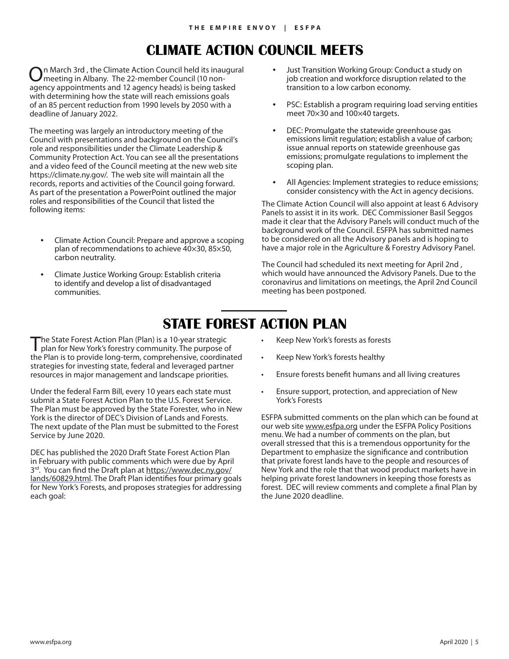## **CLIMATE ACTION COUNCIL MEETS**

On March 3rd , the Climate Action Council held its inaugural meeting in Albany. The 22-member Council (10 nonagency appointments and 12 agency heads) is being tasked with determining how the state will reach emissions goals of an 85 percent reduction from 1990 levels by 2050 with a deadline of January 2022.

The meeting was largely an introductory meeting of the Council with presentations and background on the Council's role and responsibilities under the Climate Leadership & Community Protection Act. You can see all the presentations and a video feed of the Council meeting at the new web site https://climate.ny.gov/. The web site will maintain all the records, reports and activities of the Council going forward. As part of the presentation a PowerPoint outlined the major roles and responsibilities of the Council that listed the following items:

- Climate Action Council: Prepare and approve a scoping plan of recommendations to achieve 40×30, 85×50, carbon neutrality.
- Climate Justice Working Group: Establish criteria to identify and develop a list of disadvantaged communities.
- Just Transition Working Group: Conduct a study on job creation and workforce disruption related to the transition to a low carbon economy.
- PSC: Establish a program requiring load serving entities meet 70×30 and 100×40 targets.
- DEC: Promulgate the statewide greenhouse gas emissions limit regulation; establish a value of carbon; issue annual reports on statewide greenhouse gas emissions; promulgate regulations to implement the scoping plan.
- All Agencies: Implement strategies to reduce emissions; consider consistency with the Act in agency decisions.

The Climate Action Council will also appoint at least 6 Advisory Panels to assist it in its work. DEC Commissioner Basil Seggos made it clear that the Advisory Panels will conduct much of the background work of the Council. ESFPA has submitted names to be considered on all the Advisory panels and is hoping to have a major role in the Agriculture & Forestry Advisory Panel.

The Council had scheduled its next meeting for April 2nd , which would have announced the Advisory Panels. Due to the coronavirus and limitations on meetings, the April 2nd Council meeting has been postponed.

## **STATE FOREST ACTION PLAN**

The State Forest Action Plan (Plan) is a 10-year strategic plan for New York's forestry community. The purpose of the Plan is to provide long‐term, comprehensive, coordinated strategies for investing state, federal and leveraged partner resources in major management and landscape priorities.

Under the federal Farm Bill, every 10 years each state must submit a State Forest Action Plan to the U.S. Forest Service. The Plan must be approved by the State Forester, who in New York is the director of DEC's Division of Lands and Forests. The next update of the Plan must be submitted to the Forest Service by June 2020.

DEC has published the 2020 Draft State Forest Action Plan in February with public comments which were due by April 3<sup>rd</sup>. You can find the Draft plan at https://www.dec.ny.gov/ lands/60829.html. The Draft Plan identifies four primary goals for New York's Forests, and proposes strategies for addressing each goal:

- Keep New York's forests as forests
- Keep New York's forests healthy
- Ensure forests benefit humans and all living creatures
- Ensure support, protection, and appreciation of New York's Forests

ESFPA submitted comments on the plan which can be found at our web site www.esfpa.org under the ESFPA Policy Positions menu. We had a number of comments on the plan, but overall stressed that this is a tremendous opportunity for the Department to emphasize the significance and contribution that private forest lands have to the people and resources of New York and the role that that wood product markets have in helping private forest landowners in keeping those forests as forest. DEC will review comments and complete a final Plan by the June 2020 deadline.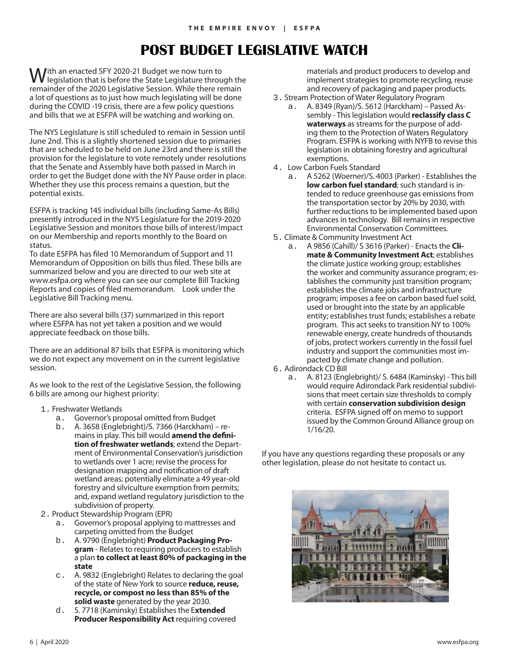## **POST BUDGET LEGISLATIVE WATCH**

Ith an enacted SFY 2020-21 Budget we now turn to legislation that is before the State Legislature through the remainder of the 2020 Legislative Session. While there remain a lot of questions as to just how much legislating will be done during the COVID -19 crisis, there are a few policy questions and bills that we at ESFPA will be watching and working on.

The NYS Legislature is still scheduled to remain in Session until June 2nd. This is a slightly shortened session due to primaries that are scheduled to be held on June 23rd and there is still the provision for the legislature to vote remotely under resolutions that the Senate and Assembly have both passed in March in order to get the Budget done with the NY Pause order in place. Whether they use this process remains a question, but the potential exists.

ESFPA is tracking 145 individual bills (including Same-As Bills) presently introduced in the NYS Legislature for the 2019-2020 Legislative Session and monitors those bills of interest/impact on our Membership and reports monthly to the Board on status.

To date ESFPA has filed 10 Memorandum of Support and 11 Memorandum of Opposition on bills thus filed. These bills are summarized below and you are directed to our web site at www.esfpa.org where you can see our complete Bill Tracking Reports and copies of filed memorandum. Look under the Legislative Bill Tracking menu.

There are also several bills (37) summarized in this report where ESFPA has not yet taken a position and we would appreciate feedback on those bills.

There are an additional 87 bills that ESFPA is monitoring which we do not expect any movement on in the current legislative session.

As we look to the rest of the Legislative Session, the following 6 bills are among our highest priority:

- 1. Freshwater Wetlands
	- a. Governor's proposal omitted from Budget
	- b. A. 3658 (Englebright)/S. 7366 (Harckham) remains in play. This bill would **amend the definition of freshwater wetlands**; extend the Department of Environmental Conservation's jurisdiction to wetlands over 1 acre; revise the process for designation mapping and notification of draft wetland areas; potentially eliminate a 49 year-old forestry and silviculture exemption from permits; and, expand wetland regulatory jurisdiction to the subdivision of property.
- 2. Product Stewardship Program (EPR)
	- a. Governor's proposal applying to mattresses and carpeting omitted from the Budget
	- b. A. 9790 (Englebright) **Product Packaging Program** - Relates to requiring producers to establish a plan **to collect at least 80% of packaging in the state**
	- A. 9832 (Englebright) Relates to declaring the goal of the state of New York to source **reduce, reuse, recycle, or compost no less than 85% of the solid waste** generated by the year 2030.
	- d. S. 7718 (Kaminsky) Establishes the E**xtended Producer Responsibility Act** requiring covered

materials and product producers to develop and implement strategies to promote recycling, reuse and recovery of packaging and paper products.

- 3. Stream Protection of Water Regulatory Program a. A. 8349 (Ryan)/S. 5612 (Harckham) – Passed Assembly - This legislation would **reclassify class C waterways** as streams for the purpose of adding them to the Protection of Waters Regulatory Program. ESFPA is working with NYFB to revise this legislation in obtaining forestry and agricultural exemptions.
- 4. Low Carbon Fuels Standard
	- a. A 5262 (Woerner)/S. 4003 (Parker) Establishes the **low carbon fuel standard**; such standard is intended to reduce greenhouse gas emissions from the transportation sector by 20% by 2030, with further reductions to be implemented based upon advances in technology. Bill remains in respective Environmental Conservation Committees.
- 5. Climate & Community Investment Act
	- a. A 9856 (Cahill)/ S 3616 (Parker) Enacts the **Climate & Community Investment Act**; establishes the climate justice working group; establishes the worker and community assurance program; establishes the community just transition program; establishes the climate jobs and infrastructure program; imposes a fee on carbon based fuel sold, used or brought into the state by an applicable entity; establishes trust funds; establishes a rebate program. This act seeks to transition NY to 100% renewable energy, create hundreds of thousands of jobs, protect workers currently in the fossil fuel industry and support the communities most impacted by climate change and pollution.
- 6. Adirondack CD Bill
	- a. A. 8123 (Englebright)/ S. 6484 (Kaminsky) This bill would require Adirondack Park residential subdivisions that meet certain size thresholds to comply with certain **conservation subdivision design** criteria. ESFPA signed off on memo to support issued by the Common Ground Alliance group on 1/16/20.

If you have any questions regarding these proposals or any other legislation, please do not hesitate to contact us.

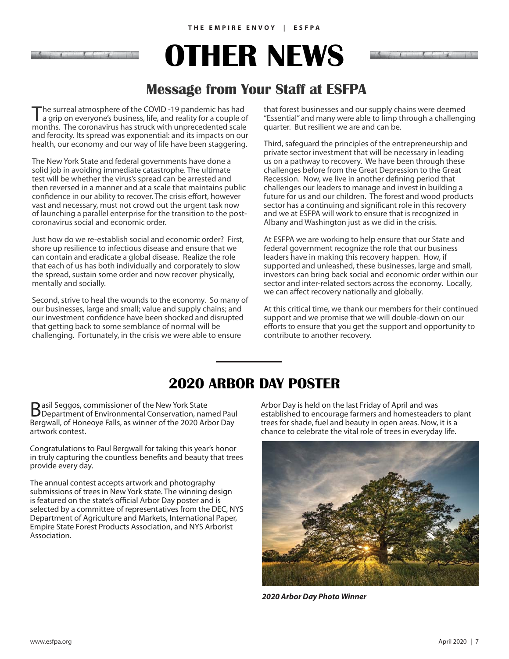# **OTHER NEWS**

## **Message from Your Staff at ESFPA**

The surreal atmosphere of the COVID-19 pandemic has had a grip on everyone's business, life, and reality for a couple of months. The coronavirus has struck with unprecedented scale and ferocity. Its spread was exponential: and its impacts on our health, our economy and our way of life have been staggering.

The New York State and federal governments have done a solid job in avoiding immediate catastrophe. The ultimate test will be whether the virus's spread can be arrested and then reversed in a manner and at a scale that maintains public confidence in our ability to recover. The crisis effort, however vast and necessary, must not crowd out the urgent task now of launching a parallel enterprise for the transition to the postcoronavirus social and economic order.

Just how do we re-establish social and economic order? First, shore up resilience to infectious disease and ensure that we can contain and eradicate a global disease. Realize the role that each of us has both individually and corporately to slow the spread, sustain some order and now recover physically, mentally and socially.

Second, strive to heal the wounds to the economy. So many of our businesses, large and small; value and supply chains; and our investment confidence have been shocked and disrupted that getting back to some semblance of normal will be challenging. Fortunately, in the crisis we were able to ensure

that forest businesses and our supply chains were deemed "Essential" and many were able to limp through a challenging quarter. But resilient we are and can be.

Third, safeguard the principles of the entrepreneurship and private sector investment that will be necessary in leading us on a pathway to recovery. We have been through these challenges before from the Great Depression to the Great Recession. Now, we live in another defining period that challenges our leaders to manage and invest in building a future for us and our children. The forest and wood products sector has a continuing and significant role in this recovery and we at ESFPA will work to ensure that is recognized in Albany and Washington just as we did in the crisis.

At ESFPA we are working to help ensure that our State and federal government recognize the role that our business leaders have in making this recovery happen. How, if supported and unleashed, these businesses, large and small, investors can bring back social and economic order within our sector and inter-related sectors across the economy. Locally, we can affect recovery nationally and globally.

At this critical time, we thank our members for their continued support and we promise that we will double-down on our efforts to ensure that you get the support and opportunity to contribute to another recovery.

## **2020 ARBOR DAY POSTER**

**B** asil Seggos, commissioner of the New York State<br>
Department of Environmental Conservation, named Paul Bergwall, of Honeoye Falls, as winner of the 2020 Arbor Day artwork contest.

Congratulations to Paul Bergwall for taking this year's honor in truly capturing the countless benefits and beauty that trees provide every day.

The annual contest accepts artwork and photography submissions of trees in New York state. The winning design is featured on the state's official Arbor Day poster and is selected by a committee of representatives from the DEC, NYS Department of Agriculture and Markets, International Paper, Empire State Forest Products Association, and NYS Arborist Association.

Arbor Day is held on the last Friday of April and was established to encourage farmers and homesteaders to plant trees for shade, fuel and beauty in open areas. Now, it is a chance to celebrate the vital role of trees in everyday life.



*2020 Arbor Day Photo Winner*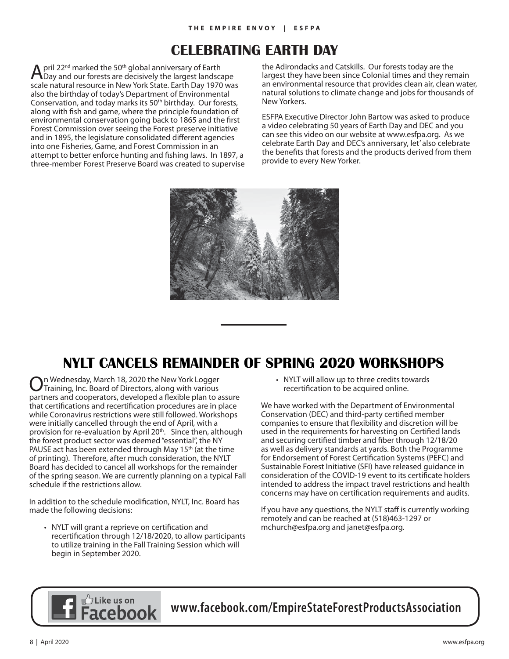## **CELEBRATING EARTH DAY**

April  $22^{nd}$  marked the 50<sup>th</sup> global anniversary of Earth Day and our forests are decisively the largest landscape scale natural resource in New York State. Earth Day 1970 was also the birthday of today's Department of Environmental Conservation, and today marks its 50<sup>th</sup> birthday. Our forests, along with fish and game, where the principle foundation of environmental conservation going back to 1865 and the first Forest Commission over seeing the Forest preserve initiative and in 1895, the legislature consolidated different agencies into one Fisheries, Game, and Forest Commission in an attempt to better enforce hunting and fishing laws. In 1897, a three-member Forest Preserve Board was created to supervise the Adirondacks and Catskills. Our forests today are the largest they have been since Colonial times and they remain an environmental resource that provides clean air, clean water, natural solutions to climate change and jobs for thousands of New Yorkers.

ESFPA Executive Director John Bartow was asked to produce a video celebrating 50 years of Earth Day and DEC and you can see this video on our website at www.esfpa.org. As we celebrate Earth Day and DEC's anniversary, let' also celebrate the benefits that forests and the products derived from them provide to every New Yorker.



## **NYLT CANCELS REMAINDER OF SPRING 2020 WORKSHOPS**

On Wednesday, March 18, 2020 the New York Logger Training, Inc. Board of Directors, along with various partners and cooperators, developed a flexible plan to assure that certifications and recertification procedures are in place while Coronavirus restrictions were still followed. Workshops were initially cancelled through the end of April, with a provision for re-evaluation by April 20<sup>th</sup>. Since then, although the forest product sector was deemed "essential", the NY PAUSE act has been extended through May  $15<sup>th</sup>$  (at the time of printing). Therefore, after much consideration, the NYLT Board has decided to cancel all workshops for the remainder of the spring season. We are currently planning on a typical Fall schedule if the restrictions allow.

In addition to the schedule modification, NYLT, Inc. Board has made the following decisions:

• NYLT will grant a reprieve on certification and recertification through 12/18/2020, to allow participants to utilize training in the Fall Training Session which will begin in September 2020.

• NYLT will allow up to three credits towards recertification to be acquired online.

We have worked with the Department of Environmental Conservation (DEC) and third-party certified member companies to ensure that flexibility and discretion will be used in the requirements for harvesting on Certified lands and securing certified timber and fiber through 12/18/20 as well as delivery standards at yards. Both the Programme for Endorsement of Forest Certification Systems (PEFC) and Sustainable Forest Initiative (SFI) have released guidance in consideration of the COVID-19 event to its certificate holders intended to address the impact travel restrictions and health concerns may have on certification requirements and audits.

If you have any questions, the NYLT staff is currently working remotely and can be reached at (518)463-1297 or mchurch@esfpa.org and janet@esfpa.org.



**www.facebook.com/EmpireStateForestProductsAssociation**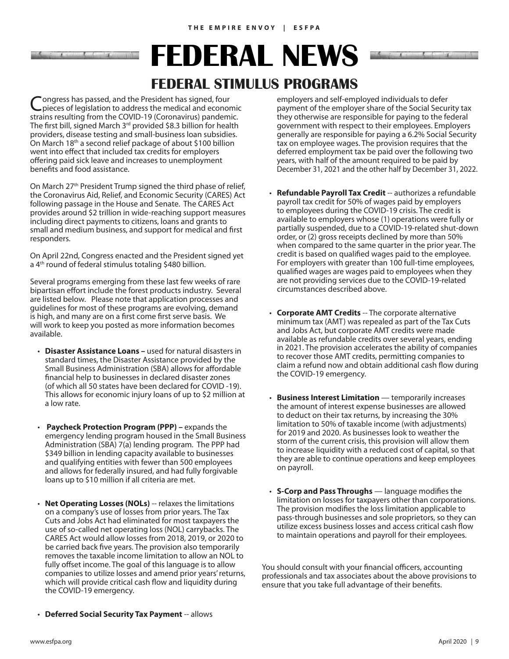**FEDERAL NEWS**

## **FEDERAL STIMULUS PROGRAMS**

Congress has passed, and the President has signed, four pieces of legislation to address the medical and economic strains resulting from the COVID-19 (Coronavirus) pandemic. The first bill, signed March 3<sup>rd</sup> provided \$8.3 billion for health providers, disease testing and small-business loan subsidies. On March 18th a second relief package of about \$100 billion went into effect that included tax credits for employers offering paid sick leave and increases to unemployment benefits and food assistance.

On March 27<sup>th</sup> President Trump signed the third phase of relief, the Coronavirus Aid, Relief, and Economic Security (CARES) Act following passage in the House and Senate. The CARES Act provides around \$2 trillion in wide-reaching support measures including direct payments to citizens, loans and grants to small and medium business, and support for medical and first responders.

On April 22nd, Congress enacted and the President signed yet a 4<sup>th</sup> round of federal stimulus totaling \$480 billion.

Several programs emerging from these last few weeks of rare bipartisan effort include the forest products industry. Several are listed below. Please note that application processes and guidelines for most of these programs are evolving, demand is high, and many are on a first come first serve basis. We will work to keep you posted as more information becomes available.

- **Disaster Assistance Loans** used for natural disasters in standard times, the Disaster Assistance provided by the Small Business Administration (SBA) allows for affordable financial help to businesses in declared disaster zones (of which all 50 states have been declared for COVID -19). This allows for economic injury loans of up to \$2 million at a low rate.
- **Paycheck Protection Program (PPP)** expands the emergency lending program housed in the Small Business Administration (SBA) 7(a) lending program. The PPP had \$349 billion in lending capacity available to businesses and qualifying entities with fewer than 500 employees and allows for federally insured, and had fully forgivable loans up to \$10 million if all criteria are met.
- **Net Operating Losses (NOLs)** -- relaxes the limitations on a company's use of losses from prior years. The Tax Cuts and Jobs Act had eliminated for most taxpayers the use of so-called net operating loss (NOL) carrybacks. The CARES Act would allow losses from 2018, 2019, or 2020 to be carried back five years. The provision also temporarily removes the taxable income limitation to allow an NOL to fully offset income. The goal of this language is to allow companies to utilize losses and amend prior years' returns, which will provide critical cash flow and liquidity during the COVID-19 emergency.

employers and self-employed individuals to defer payment of the employer share of the Social Security tax they otherwise are responsible for paying to the federal government with respect to their employees. Employers generally are responsible for paying a 6.2% Social Security tax on employee wages. The provision requires that the deferred employment tax be paid over the following two years, with half of the amount required to be paid by December 31, 2021 and the other half by December 31, 2022.

- **Refundable Payroll Tax Credit** -- authorizes a refundable payroll tax credit for 50% of wages paid by employers to employees during the COVID-19 crisis. The credit is available to employers whose (1) operations were fully or partially suspended, due to a COVID-19-related shut-down order, or (2) gross receipts declined by more than 50% when compared to the same quarter in the prior year. The credit is based on qualified wages paid to the employee. For employers with greater than 100 full-time employees, qualified wages are wages paid to employees when they are not providing services due to the COVID-19-related circumstances described above.
- **Corporate AMT Credits** -- The corporate alternative minimum tax (AMT) was repealed as part of the Tax Cuts and Jobs Act, but corporate AMT credits were made available as refundable credits over several years, ending in 2021. The provision accelerates the ability of companies to recover those AMT credits, permitting companies to claim a refund now and obtain additional cash flow during the COVID-19 emergency.
- **Business Interest Limitation** temporarily increases the amount of interest expense businesses are allowed to deduct on their tax returns, by increasing the 30% limitation to 50% of taxable income (with adjustments) for 2019 and 2020. As businesses look to weather the storm of the current crisis, this provision will allow them to increase liquidity with a reduced cost of capital, so that they are able to continue operations and keep employees on payroll.
- $\cdot$  **S-Corp and Pass Throughs** language modifies the limitation on losses for taxpayers other than corporations. The provision modifies the loss limitation applicable to pass-through businesses and sole proprietors, so they can utilize excess business losses and access critical cash flow to maintain operations and payroll for their employees.

You should consult with your financial officers, accounting professionals and tax associates about the above provisions to ensure that you take full advantage of their benefits.

• **Deferred Social Security Tax Payment** -- allows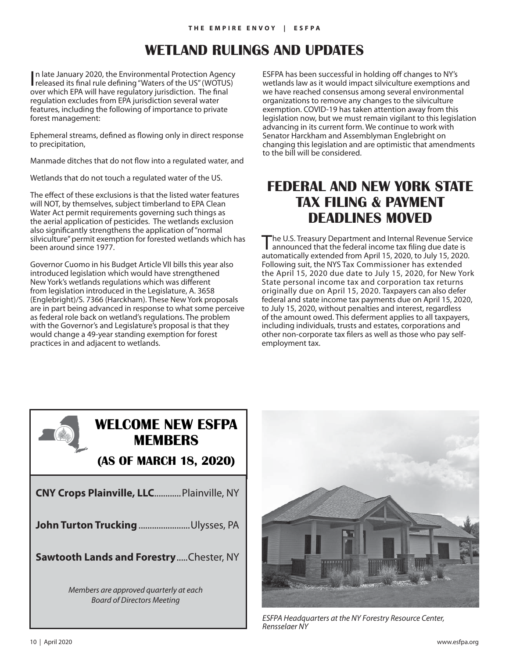## **WETLAND RULINGS AND UPDATES**

In late January 2020, the Environmental Protection Agency<br>released its final rule defining "Waters of the US" (WOTUS) n late January 2020, the Environmental Protection Agency over which EPA will have regulatory jurisdiction. The final regulation excludes from EPA jurisdiction several water features, including the following of importance to private forest management:

Ephemeral streams, defined as flowing only in direct response to precipitation,

Manmade ditches that do not flow into a regulated water, and

Wetlands that do not touch a regulated water of the US.

The effect of these exclusions is that the listed water features will NOT, by themselves, subject timberland to EPA Clean Water Act permit requirements governing such things as the aerial application of pesticides. The wetlands exclusion also significantly strengthens the application of "normal silviculture" permit exemption for forested wetlands which has been around since 1977.

Governor Cuomo in his Budget Article VII bills this year also introduced legislation which would have strengthened New York's wetlands regulations which was different from legislation introduced in the Legislature, A. 3658 (Englebright)/S. 7366 (Harckham). These New York proposals are in part being advanced in response to what some perceive as federal role back on wetland's regulations. The problem with the Governor's and Legislature's proposal is that they would change a 49-year standing exemption for forest practices in and adjacent to wetlands.

ESFPA has been successful in holding off changes to NY's wetlands law as it would impact silviculture exemptions and we have reached consensus among several environmental organizations to remove any changes to the silviculture exemption. COVID-19 has taken attention away from this legislation now, but we must remain vigilant to this legislation advancing in its current form. We continue to work with Senator Harckham and Assemblyman Englebright on changing this legislation and are optimistic that amendments to the bill will be considered.

## **FEDERAL AND NEW YORK STATE TAX FILING & PAYMENT DEADLINES MOVED**

The U.S. Treasury Department and Internal Revenue Service<br>
announced that the federal income tax filing due date is automatically extended from April 15, 2020, to July 15, 2020. Following suit, the NYS Tax Commissioner has extended the April 15, 2020 due date to July 15, 2020, for New York State personal income tax and corporation tax returns originally due on April 15, 2020. Taxpayers can also defer federal and state income tax payments due on April 15, 2020, to July 15, 2020, without penalties and interest, regardless of the amount owed. This deferment applies to all taxpayers, including individuals, trusts and estates, corporations and other non-corporate tax filers as well as those who pay selfemployment tax.



## **WELCOME NEW ESFPA MEMBERS**

**(AS OF MARCH 18, 2020)**

| <b>CNY Crops Plainville, LLC Plainville, NY</b>                             |
|-----------------------------------------------------------------------------|
| John Turton Trucking Ulysses, PA                                            |
| <b>Sawtooth Lands and ForestryChester, NY</b>                               |
| Members are approved quarterly at each<br><b>Board of Directors Meeting</b> |



*ESFPA Headquarters at the NY Forestry Resource Center, Rensselaer NY*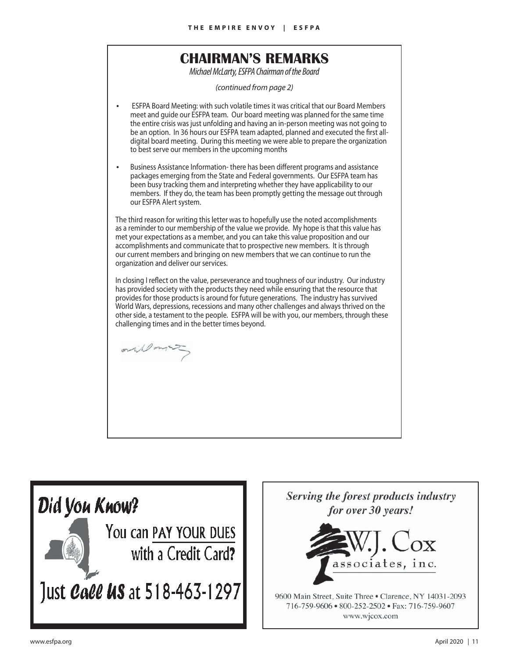## **CHAIRMAN'S REMARKS**

*Michael McLarty, ESFPA Chairman of the Board*

*(continued from page 2)*

• ESFPA Board Meeting: with such volatile times it was critical that our Board Members meet and guide our ESFPA team. Our board meeting was planned for the same time the entire crisis was just unfolding and having an in-person meeting was not going to be an option. In 36 hours our ESFPA team adapted, planned and executed the first alldigital board meeting. During this meeting we were able to prepare the organization to best serve our members in the upcoming months

Business Assistance Information-there has been different programs and assistance packages emerging from the State and Federal governments. Our ESFPA team has been busy tracking them and interpreting whether they have applicability to our members. If they do, the team has been promptly getting the message out through our ESFPA Alert system.

The third reason for writing this letter was to hopefully use the noted accomplishments as a reminder to our membership of the value we provide. My hope is that this value has met your expectations as a member, and you can take this value proposition and our accomplishments and communicate that to prospective new members. It is through our current members and bringing on new members that we can continue to run the organization and deliver our services.

In closing I reflect on the value, perseverance and toughness of our industry. Our industry has provided society with the products they need while ensuring that the resource that provides for those products is around for future generations. The industry has survived World Wars, depressions, recessions and many other challenges and always thrived on the other side, a testament to the people. ESFPA will be with you, our members, through these challenging times and in the better times beyond.

orilland



Serving the forest products industry for over 30 years!



9600 Main Street, Suite Three . Clarence, NY 14031-2093 716-759-9606 • 800-252-2502 • Fax: 716-759-9607 www.wjcox.com